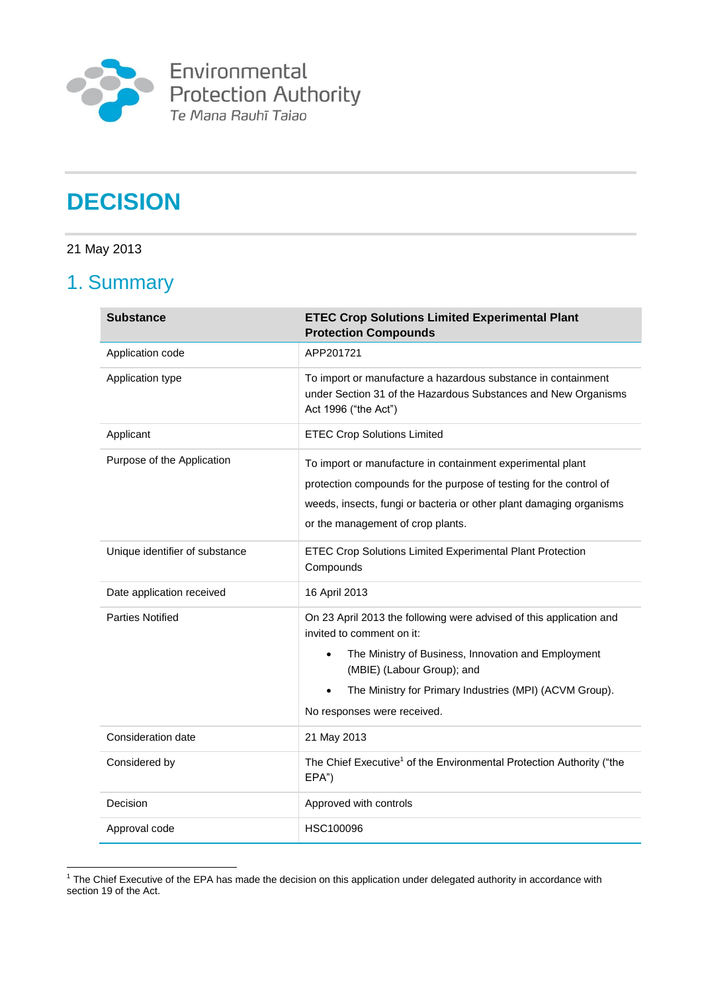

Environmental<br>Protection Authority<br>Te Mana Rauhī Taiao

# **DECISION**

### 21 May 2013

# 1. Summary

| <b>Substance</b>               | <b>ETEC Crop Solutions Limited Experimental Plant</b><br><b>Protection Compounds</b>                                                                                                                                                         |
|--------------------------------|----------------------------------------------------------------------------------------------------------------------------------------------------------------------------------------------------------------------------------------------|
| Application code               | APP201721                                                                                                                                                                                                                                    |
| Application type               | To import or manufacture a hazardous substance in containment<br>under Section 31 of the Hazardous Substances and New Organisms<br>Act 1996 ("the Act")                                                                                      |
| Applicant                      | <b>ETEC Crop Solutions Limited</b>                                                                                                                                                                                                           |
| Purpose of the Application     | To import or manufacture in containment experimental plant<br>protection compounds for the purpose of testing for the control of<br>weeds, insects, fungi or bacteria or other plant damaging organisms<br>or the management of crop plants. |
| Unique identifier of substance | ETEC Crop Solutions Limited Experimental Plant Protection<br>Compounds                                                                                                                                                                       |
| Date application received      | 16 April 2013                                                                                                                                                                                                                                |
| <b>Parties Notified</b>        | On 23 April 2013 the following were advised of this application and<br>invited to comment on it:                                                                                                                                             |
|                                | The Ministry of Business, Innovation and Employment<br>$\bullet$<br>(MBIE) (Labour Group); and                                                                                                                                               |
|                                | The Ministry for Primary Industries (MPI) (ACVM Group).<br>No responses were received.                                                                                                                                                       |
| Consideration date             | 21 May 2013                                                                                                                                                                                                                                  |
| Considered by                  | The Chief Executive <sup>1</sup> of the Environmental Protection Authority ("the<br>EPA")                                                                                                                                                    |
| Decision                       | Approved with controls                                                                                                                                                                                                                       |
| Approval code                  | HSC100096                                                                                                                                                                                                                                    |

 1 The Chief Executive of the EPA has made the decision on this application under delegated authority in accordance with section 19 of the Act.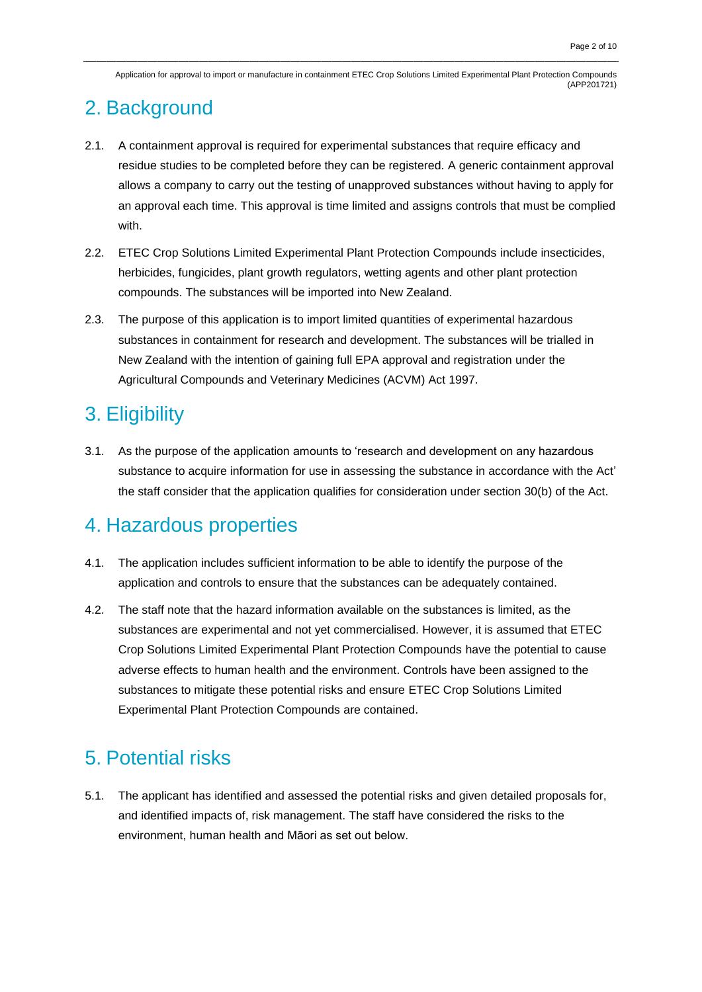# 2. Background

- 2.1. A containment approval is required for experimental substances that require efficacy and residue studies to be completed before they can be registered. A generic containment approval allows a company to carry out the testing of unapproved substances without having to apply for an approval each time. This approval is time limited and assigns controls that must be complied with.
- 2.2. ETEC Crop Solutions Limited Experimental Plant Protection Compounds include insecticides, herbicides, fungicides, plant growth regulators, wetting agents and other plant protection compounds. The substances will be imported into New Zealand.
- 2.3. The purpose of this application is to import limited quantities of experimental hazardous substances in containment for research and development. The substances will be trialled in New Zealand with the intention of gaining full EPA approval and registration under the Agricultural Compounds and Veterinary Medicines (ACVM) Act 1997.

# 3. Eligibility

3.1. As the purpose of the application amounts to 'research and development on any hazardous substance to acquire information for use in assessing the substance in accordance with the Act' the staff consider that the application qualifies for consideration under section 30(b) of the Act.

### 4. Hazardous properties

- 4.1. The application includes sufficient information to be able to identify the purpose of the application and controls to ensure that the substances can be adequately contained.
- 4.2. The staff note that the hazard information available on the substances is limited, as the substances are experimental and not yet commercialised. However, it is assumed that ETEC Crop Solutions Limited Experimental Plant Protection Compounds have the potential to cause adverse effects to human health and the environment. Controls have been assigned to the substances to mitigate these potential risks and ensure ETEC Crop Solutions Limited Experimental Plant Protection Compounds are contained.

# 5. Potential risks

5.1. The applicant has identified and assessed the potential risks and given detailed proposals for, and identified impacts of, risk management. The staff have considered the risks to the environment, human health and Māori as set out below.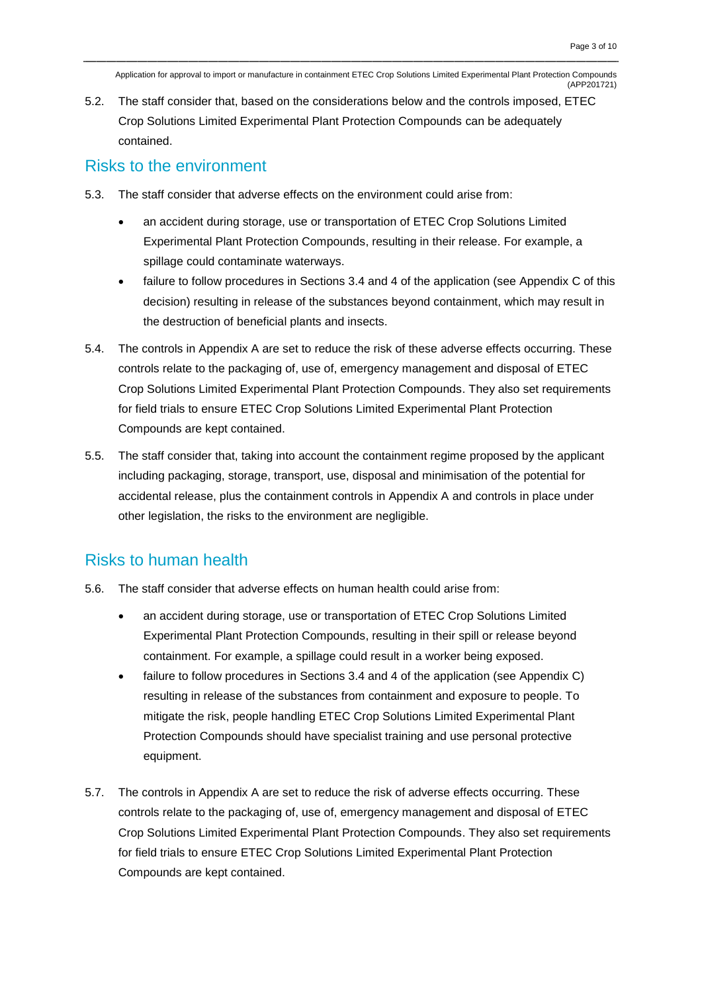5.2. The staff consider that, based on the considerations below and the controls imposed, ETEC Crop Solutions Limited Experimental Plant Protection Compounds can be adequately contained.

#### Risks to the environment

- 5.3. The staff consider that adverse effects on the environment could arise from:
	- an accident during storage, use or transportation of ETEC Crop Solutions Limited Experimental Plant Protection Compounds, resulting in their release. For example, a spillage could contaminate waterways.
	- failure to follow procedures in Sections 3.4 and 4 of the application (see Appendix C of this decision) resulting in release of the substances beyond containment, which may result in the destruction of beneficial plants and insects.
- 5.4. The controls in Appendix A are set to reduce the risk of these adverse effects occurring. These controls relate to the packaging of, use of, emergency management and disposal of ETEC Crop Solutions Limited Experimental Plant Protection Compounds. They also set requirements for field trials to ensure ETEC Crop Solutions Limited Experimental Plant Protection Compounds are kept contained.
- 5.5. The staff consider that, taking into account the containment regime proposed by the applicant including packaging, storage, transport, use, disposal and minimisation of the potential for accidental release, plus the containment controls in Appendix A and controls in place under other legislation, the risks to the environment are negligible.

### Risks to human health

- 5.6. The staff consider that adverse effects on human health could arise from:
	- an accident during storage, use or transportation of ETEC Crop Solutions Limited Experimental Plant Protection Compounds, resulting in their spill or release beyond containment. For example, a spillage could result in a worker being exposed.
	- failure to follow procedures in Sections 3.4 and 4 of the application (see Appendix C) resulting in release of the substances from containment and exposure to people. To mitigate the risk, people handling ETEC Crop Solutions Limited Experimental Plant Protection Compounds should have specialist training and use personal protective equipment.
- 5.7. The controls in Appendix A are set to reduce the risk of adverse effects occurring. These controls relate to the packaging of, use of, emergency management and disposal of ETEC Crop Solutions Limited Experimental Plant Protection Compounds. They also set requirements for field trials to ensure ETEC Crop Solutions Limited Experimental Plant Protection Compounds are kept contained.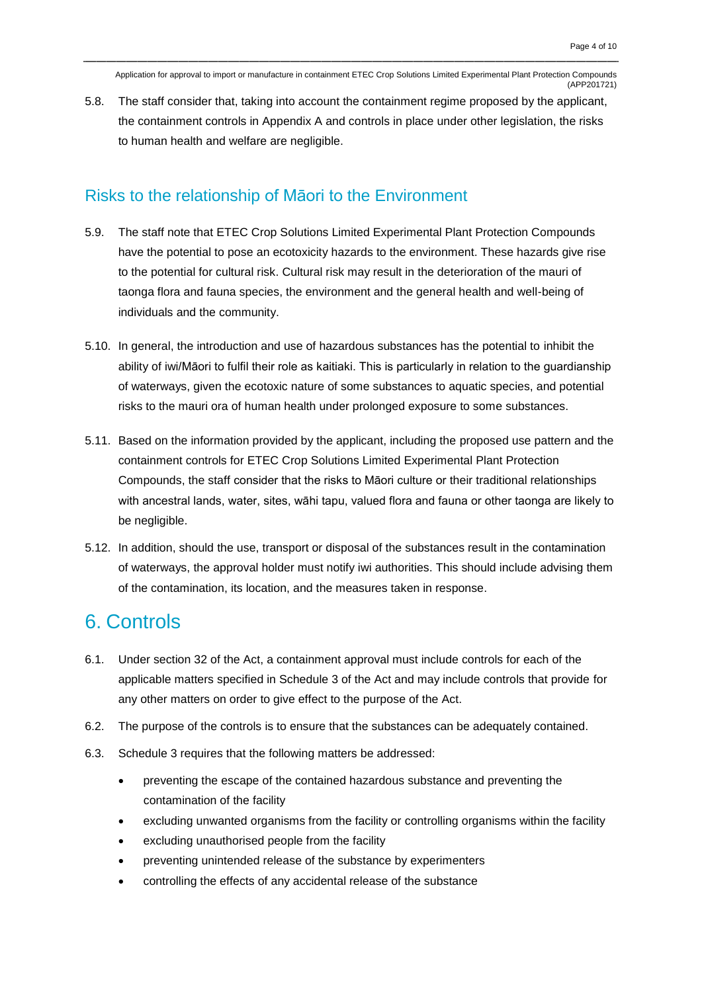5.8. The staff consider that, taking into account the containment regime proposed by the applicant, the containment controls in Appendix A and controls in place under other legislation, the risks to human health and welfare are negligible.

#### Risks to the relationship of Māori to the Environment

- 5.9. The staff note that ETEC Crop Solutions Limited Experimental Plant Protection Compounds have the potential to pose an ecotoxicity hazards to the environment. These hazards give rise to the potential for cultural risk. Cultural risk may result in the deterioration of the mauri of taonga flora and fauna species, the environment and the general health and well-being of individuals and the community.
- 5.10. In general, the introduction and use of hazardous substances has the potential to inhibit the ability of iwi/Māori to fulfil their role as kaitiaki. This is particularly in relation to the guardianship of waterways, given the ecotoxic nature of some substances to aquatic species, and potential risks to the mauri ora of human health under prolonged exposure to some substances.
- 5.11. Based on the information provided by the applicant, including the proposed use pattern and the containment controls for ETEC Crop Solutions Limited Experimental Plant Protection Compounds, the staff consider that the risks to Māori culture or their traditional relationships with ancestral lands, water, sites, wāhi tapu, valued flora and fauna or other taonga are likely to be negligible.
- 5.12. In addition, should the use, transport or disposal of the substances result in the contamination of waterways, the approval holder must notify iwi authorities. This should include advising them of the contamination, its location, and the measures taken in response.

### 6. Controls

- 6.1. Under section 32 of the Act, a containment approval must include controls for each of the applicable matters specified in Schedule 3 of the Act and may include controls that provide for any other matters on order to give effect to the purpose of the Act.
- 6.2. The purpose of the controls is to ensure that the substances can be adequately contained.
- 6.3. Schedule 3 requires that the following matters be addressed:
	- preventing the escape of the contained hazardous substance and preventing the contamination of the facility
	- excluding unwanted organisms from the facility or controlling organisms within the facility
	- excluding unauthorised people from the facility
	- preventing unintended release of the substance by experimenters
	- controlling the effects of any accidental release of the substance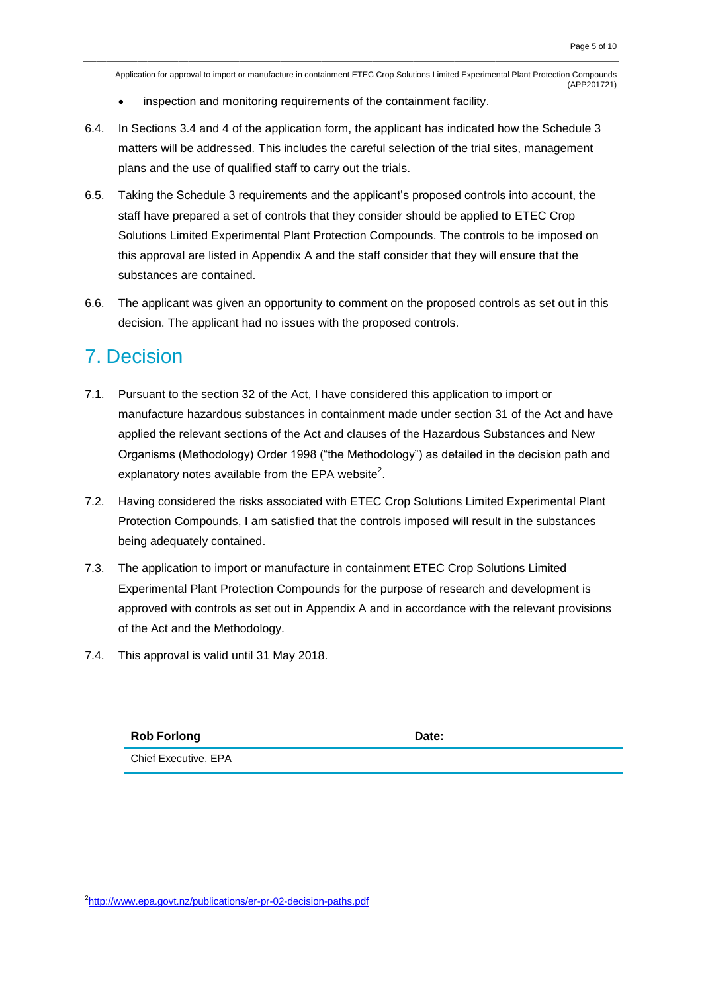- inspection and monitoring requirements of the containment facility.
- 6.4. In Sections 3.4 and 4 of the application form, the applicant has indicated how the Schedule 3 matters will be addressed. This includes the careful selection of the trial sites, management plans and the use of qualified staff to carry out the trials.
- 6.5. Taking the Schedule 3 requirements and the applicant's proposed controls into account, the staff have prepared a set of controls that they consider should be applied to ETEC Crop Solutions Limited Experimental Plant Protection Compounds. The controls to be imposed on this approval are listed in Appendix A and the staff consider that they will ensure that the substances are contained.
- 6.6. The applicant was given an opportunity to comment on the proposed controls as set out in this decision. The applicant had no issues with the proposed controls.

### 7. Decision

- 7.1. Pursuant to the section 32 of the Act, I have considered this application to import or manufacture hazardous substances in containment made under section 31 of the Act and have applied the relevant sections of the Act and clauses of the Hazardous Substances and New Organisms (Methodology) Order 1998 ("the Methodology") as detailed in the decision path and explanatory notes available from the EPA website<sup>2</sup>.
- 7.2. Having considered the risks associated with ETEC Crop Solutions Limited Experimental Plant Protection Compounds, I am satisfied that the controls imposed will result in the substances being adequately contained.
- 7.3. The application to import or manufacture in containment ETEC Crop Solutions Limited Experimental Plant Protection Compounds for the purpose of research and development is approved with controls as set out in Appendix A and in accordance with the relevant provisions of the Act and the Methodology.
- 7.4. This approval is valid until 31 May 2018.

**Rob Forlong Date: Date: Date:** Chief Executive, EPA

<u>.</u>

<sup>&</sup>lt;sup>2</sup><http://www.epa.govt.nz/publications/er-pr-02-decision-paths.pdf>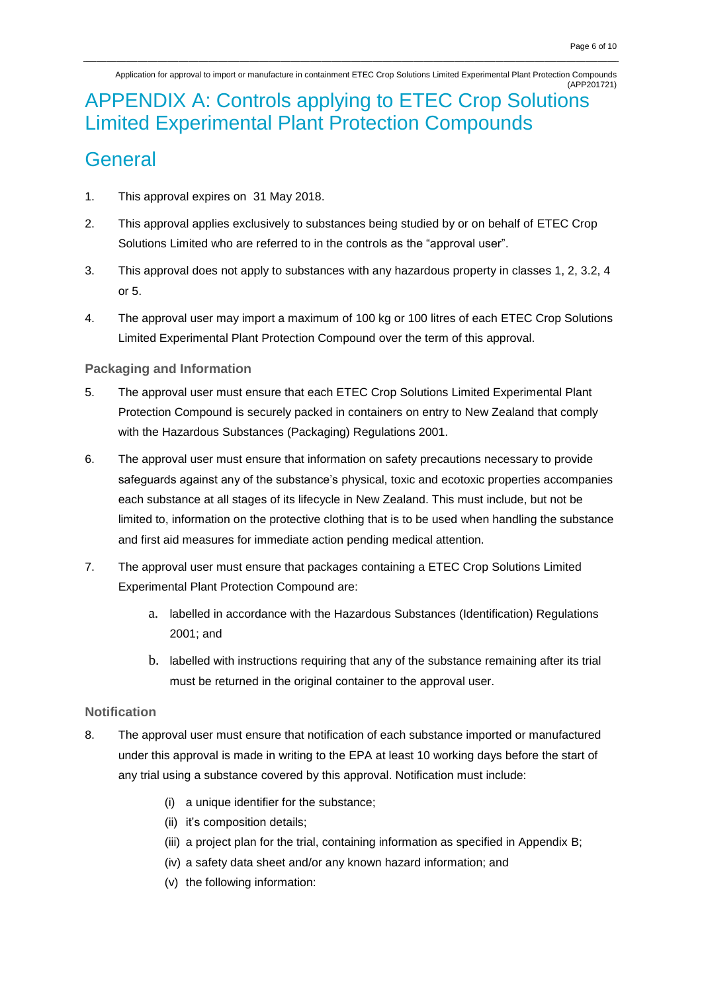## APPENDIX A: Controls applying to ETEC Crop Solutions Limited Experimental Plant Protection Compounds

### **General**

- 1. This approval expires on 31 May 2018.
- 2. This approval applies exclusively to substances being studied by or on behalf of ETEC Crop Solutions Limited who are referred to in the controls as the "approval user".
- 3. This approval does not apply to substances with any hazardous property in classes 1, 2, 3.2, 4 or 5.
- 4. The approval user may import a maximum of 100 kg or 100 litres of each ETEC Crop Solutions Limited Experimental Plant Protection Compound over the term of this approval.

#### **Packaging and Information**

- 5. The approval user must ensure that each ETEC Crop Solutions Limited Experimental Plant Protection Compound is securely packed in containers on entry to New Zealand that comply with the Hazardous Substances (Packaging) Regulations 2001.
- 6. The approval user must ensure that information on safety precautions necessary to provide safeguards against any of the substance's physical, toxic and ecotoxic properties accompanies each substance at all stages of its lifecycle in New Zealand. This must include, but not be limited to, information on the protective clothing that is to be used when handling the substance and first aid measures for immediate action pending medical attention.
- 7. The approval user must ensure that packages containing a ETEC Crop Solutions Limited Experimental Plant Protection Compound are:
	- a. labelled in accordance with the Hazardous Substances (Identification) Regulations 2001; and
	- b. labelled with instructions requiring that any of the substance remaining after its trial must be returned in the original container to the approval user.

#### **Notification**

- 8. The approval user must ensure that notification of each substance imported or manufactured under this approval is made in writing to the EPA at least 10 working days before the start of any trial using a substance covered by this approval. Notification must include:
	- (i) a unique identifier for the substance;
	- (ii) it's composition details;
	- (iii) a project plan for the trial, containing information as specified in Appendix B;
	- (iv) a safety data sheet and/or any known hazard information; and
	- (v) the following information: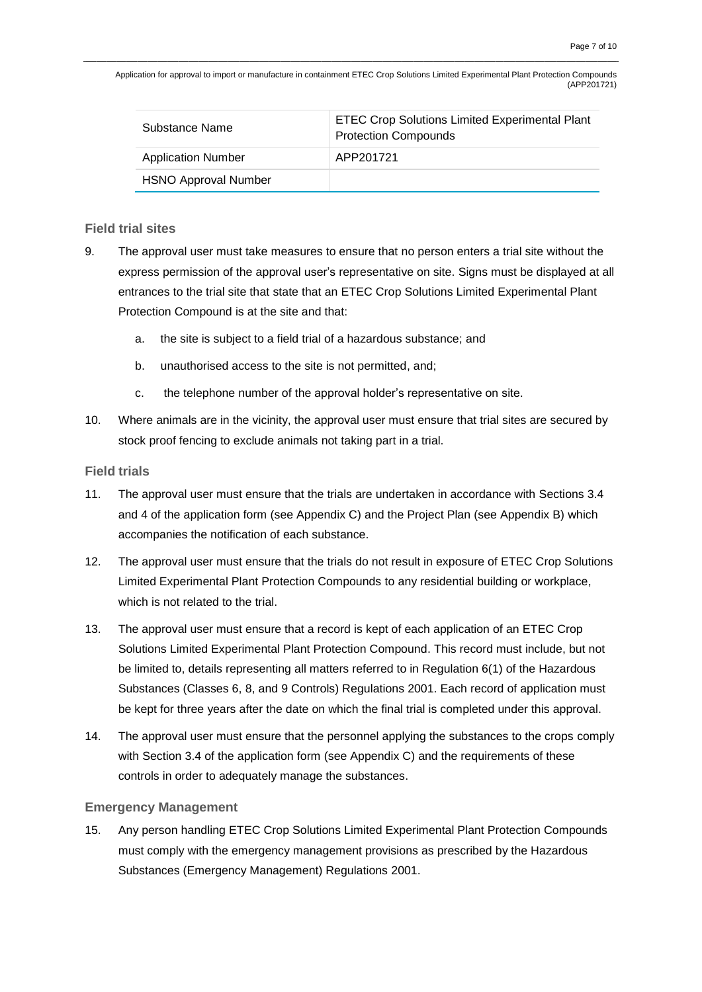| Substance Name              | <b>ETEC Crop Solutions Limited Experimental Plant</b><br><b>Protection Compounds</b> |
|-----------------------------|--------------------------------------------------------------------------------------|
| <b>Application Number</b>   | APP201721                                                                            |
| <b>HSNO Approval Number</b> |                                                                                      |

#### **Field trial sites**

- 9. The approval user must take measures to ensure that no person enters a trial site without the express permission of the approval user's representative on site. Signs must be displayed at all entrances to the trial site that state that an ETEC Crop Solutions Limited Experimental Plant Protection Compound is at the site and that:
	- a. the site is subject to a field trial of a hazardous substance; and
	- b. unauthorised access to the site is not permitted, and;
	- c. the telephone number of the approval holder's representative on site.
- 10. Where animals are in the vicinity, the approval user must ensure that trial sites are secured by stock proof fencing to exclude animals not taking part in a trial.

#### **Field trials**

- 11. The approval user must ensure that the trials are undertaken in accordance with Sections 3.4 and 4 of the application form (see Appendix C) and the Project Plan (see Appendix B) which accompanies the notification of each substance.
- 12. The approval user must ensure that the trials do not result in exposure of ETEC Crop Solutions Limited Experimental Plant Protection Compounds to any residential building or workplace, which is not related to the trial.
- 13. The approval user must ensure that a record is kept of each application of an ETEC Crop Solutions Limited Experimental Plant Protection Compound. This record must include, but not be limited to, details representing all matters referred to in Regulation 6(1) of the Hazardous Substances (Classes 6, 8, and 9 Controls) Regulations 2001. Each record of application must be kept for three years after the date on which the final trial is completed under this approval.
- 14. The approval user must ensure that the personnel applying the substances to the crops comply with Section 3.4 of the application form (see Appendix C) and the requirements of these controls in order to adequately manage the substances.

#### **Emergency Management**

15. Any person handling ETEC Crop Solutions Limited Experimental Plant Protection Compounds must comply with the emergency management provisions as prescribed by the Hazardous Substances (Emergency Management) Regulations 2001.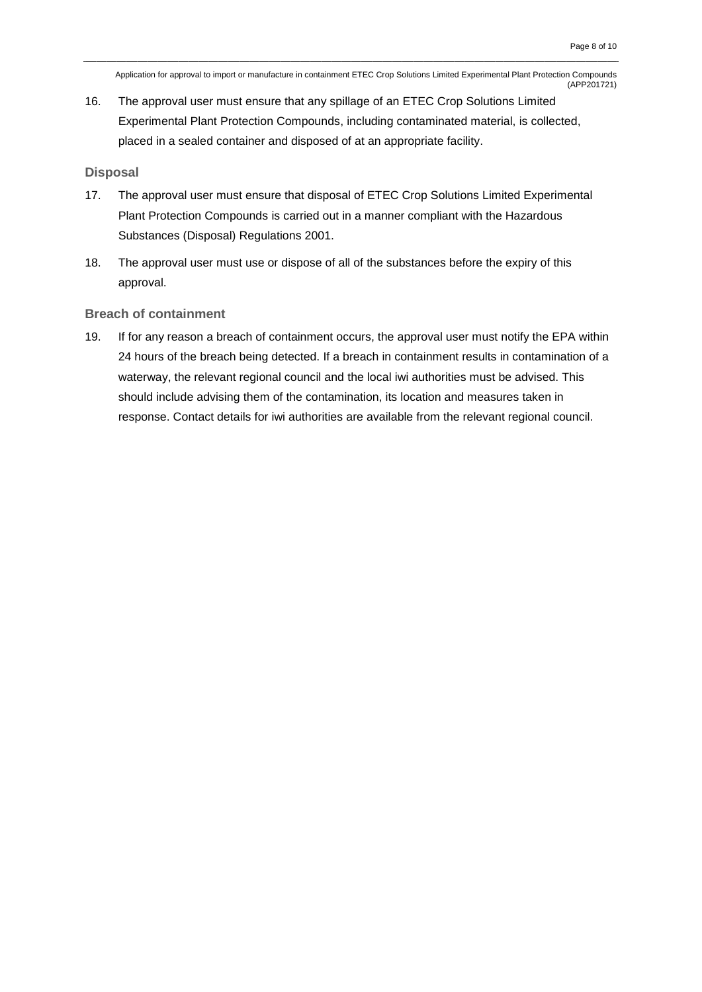16. The approval user must ensure that any spillage of an ETEC Crop Solutions Limited Experimental Plant Protection Compounds, including contaminated material, is collected, placed in a sealed container and disposed of at an appropriate facility.

#### **Disposal**

- 17. The approval user must ensure that disposal of ETEC Crop Solutions Limited Experimental Plant Protection Compounds is carried out in a manner compliant with the Hazardous Substances (Disposal) Regulations 2001.
- 18. The approval user must use or dispose of all of the substances before the expiry of this approval.

#### **Breach of containment**

19. If for any reason a breach of containment occurs, the approval user must notify the EPA within 24 hours of the breach being detected. If a breach in containment results in contamination of a waterway, the relevant regional council and the local iwi authorities must be advised. This should include advising them of the contamination, its location and measures taken in response. Contact details for iwi authorities are available from the relevant regional council.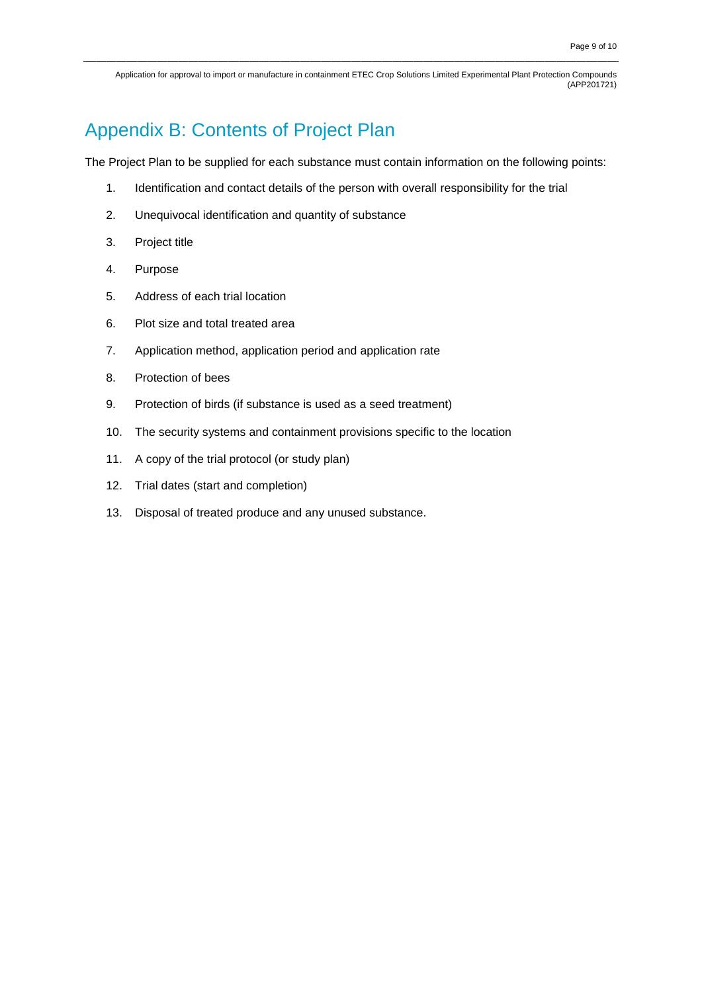### Appendix B: Contents of Project Plan

The Project Plan to be supplied for each substance must contain information on the following points:

- 1. Identification and contact details of the person with overall responsibility for the trial
- 2. Unequivocal identification and quantity of substance
- 3. Project title
- 4. Purpose
- 5. Address of each trial location
- 6. Plot size and total treated area
- 7. Application method, application period and application rate
- 8. Protection of bees
- 9. Protection of birds (if substance is used as a seed treatment)
- 10. The security systems and containment provisions specific to the location
- 11. A copy of the trial protocol (or study plan)
- 12. Trial dates (start and completion)
- 13. Disposal of treated produce and any unused substance.